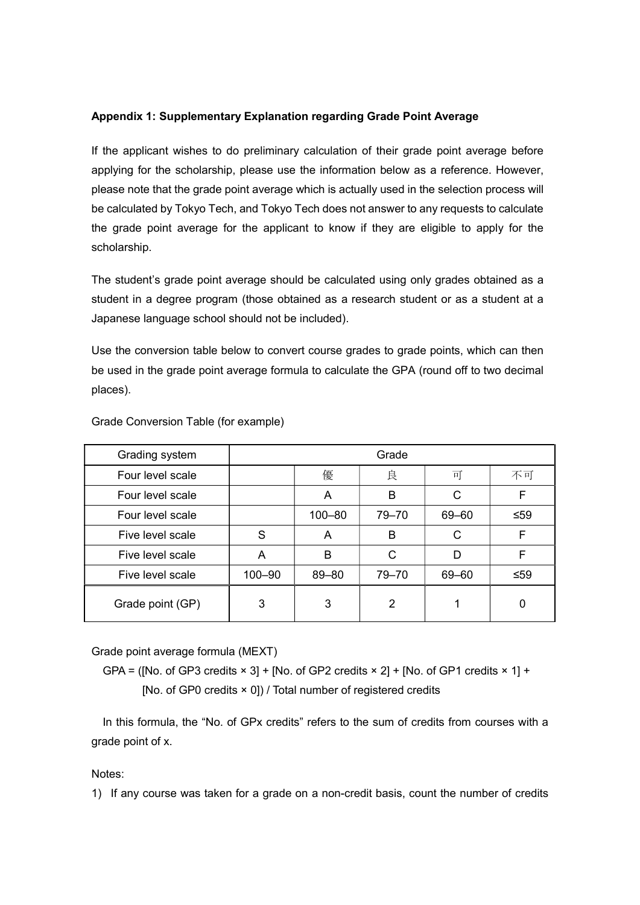## Appendix 1: Supplementary Explanation regarding Grade Point Average

If the applicant wishes to do preliminary calculation of their grade point average before applying for the scholarship, please use the information below as a reference. However, please note that the grade point average which is actually used in the selection process will be calculated by Tokyo Tech, and Tokyo Tech does not answer to any requests to calculate the grade point average for the applicant to know if they are eligible to apply for the scholarship.

The student's grade point average should be calculated using only grades obtained as a student in a degree program (those obtained as a research student or as a student at a Japanese language school should not be included).

Use the conversion table below to convert course grades to grade points, which can then be used in the grade point average formula to calculate the GPA (round off to two decimal places).

| Grading system   | Grade  |            |                |       |     |
|------------------|--------|------------|----------------|-------|-----|
| Four level scale |        | 優          | 良              | 可     | 不可  |
| Four level scale |        | A          | B              | C     | F   |
| Four level scale |        | $100 - 80$ | 79-70          | 69-60 | ≤59 |
| Five level scale | S      | A          | B              | C     | F   |
| Five level scale | A      | B          | C              | D     | F   |
| Five level scale | 100-90 | 89-80      | 79-70          | 69-60 | ≤59 |
| Grade point (GP) | 3      | 3          | $\overline{2}$ |       | 0   |

Grade Conversion Table (for example)

Grade point average formula (MEXT)

GPA = ([No. of GP3 credits  $\times$  3] + [No. of GP2 credits  $\times$  2] + [No. of GP1 credits  $\times$  1] + [No. of GP0 credits  $\times$  0]) / Total number of registered credits

In this formula, the "No. of GPx credits" refers to the sum of credits from courses with a grade point of x.

Notes:

1) If any course was taken for a grade on a non-credit basis, count the number of credits